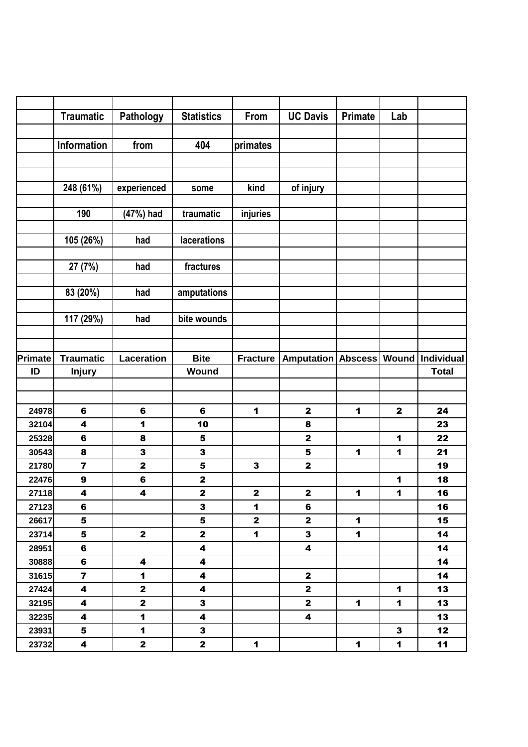|         | <b>Traumatic</b>        | Pathology               | <b>Statistics</b>       | From            | <b>UC Davis</b>         | <b>Primate</b> | Lab            |              |
|---------|-------------------------|-------------------------|-------------------------|-----------------|-------------------------|----------------|----------------|--------------|
|         |                         |                         |                         |                 |                         |                |                |              |
|         | <b>Information</b>      | from                    | 404                     | primates        |                         |                |                |              |
|         |                         |                         |                         |                 |                         |                |                |              |
|         |                         |                         |                         |                 |                         |                |                |              |
|         | 248 (61%)               | experienced             | some                    | kind            | of injury               |                |                |              |
|         |                         |                         |                         |                 |                         |                |                |              |
|         | 190                     | (47%) had               | traumatic               | injuries        |                         |                |                |              |
|         |                         |                         |                         |                 |                         |                |                |              |
|         | 105 (26%)               | had                     | lacerations             |                 |                         |                |                |              |
|         |                         |                         |                         |                 |                         |                |                |              |
|         | 27 (7%)                 | had                     | fractures               |                 |                         |                |                |              |
|         |                         |                         |                         |                 |                         |                |                |              |
|         | 83 (20%)                | had                     | amputations             |                 |                         |                |                |              |
|         | 117 (29%)               | had                     | bite wounds             |                 |                         |                |                |              |
|         |                         |                         |                         |                 |                         |                |                |              |
|         |                         |                         |                         |                 |                         |                |                |              |
| Primate | <b>Traumatic</b>        | <b>Laceration</b>       | <b>Bite</b>             | <b>Fracture</b> | <b>Amputation</b>       | <b>Abscess</b> | Wound          | Individual   |
| ID      | <b>Injury</b>           |                         | Wound                   |                 |                         |                |                | <b>Total</b> |
|         |                         |                         |                         |                 |                         |                |                |              |
|         |                         |                         |                         |                 |                         |                |                |              |
| 24978   | $6\phantom{a}$          | $\bf 6$                 | 6                       | 1               | $\mathbf{2}$            | 1              | $\mathbf 2$    | 24           |
| 32104   | 4                       | 1                       | 10                      |                 | 8                       |                |                | 23           |
| 25328   | 6                       | 8                       | $5\phantom{1}$          |                 | $\mathbf 2$             |                | 1              | 22           |
| 30543   | 8                       | 3                       | $\mathbf 3$             |                 | 5                       | 1              | 1              | 21           |
| 21780   | $\overline{\mathbf{z}}$ | $\mathbf 2$             | 5                       | $\mathbf{3}$    | $\mathbf{2}$            |                |                | 19           |
| 22476   | $\boldsymbol{9}$        | $\bf 6$                 | $\mathbf 2$             |                 |                         |                | 1              | 18           |
| 27118   | 4                       | 4                       | $\mathbf 2$             | $\mathbf 2$     | $\mathbf 2$             | $\mathbf 1$    | $\mathbf 1$    | 16           |
| 27123   | 6                       |                         | $\mathbf{3}$            | $\mathbf{1}$    | 6                       |                |                | 16           |
| 26617   | 5                       |                         | 5                       | $\mathbf 2$     | $\mathbf{2}$            | $\mathbf 1$    |                | 15           |
| 23714   | 5                       | $\mathbf{2}$            | $\mathbf{2}$            | $\mathbf 1$     | $\mathbf{3}$            | $\mathbf 1$    |                | 14           |
| 28951   | 6                       |                         | $\overline{\mathbf{4}}$ |                 | $\overline{\mathbf{4}}$ |                |                | 14           |
| 30888   | 6                       | $\overline{\mathbf{4}}$ | $\overline{\mathbf{4}}$ |                 |                         |                |                | 14           |
| 31615   | $\overline{7}$          | $\blacksquare$          | $\overline{\mathbf{4}}$ |                 | $\mathbf{2}$            |                |                | 14           |
| 27424   | 4                       | $\mathbf{2}$            | 4                       |                 | $\mathbf{2}$            |                | $\mathbf{1}$   | 13           |
| 32195   | 4                       | $\mathbf{2}$            | $\mathbf{3}$            |                 | $\mathbf{2}$            | $\mathbf 1$    | $\mathbf 1$    | 13           |
| 32235   | 4                       | $\blacksquare$          | 4                       |                 | 4                       |                |                | 13           |
| 23931   | 5                       | $\blacksquare$          | $\mathbf{3}$            |                 |                         |                | $\mathbf{3}$   | 12           |
| 23732   | 4                       | $\mathbf{2}$            | $\mathbf{2}$            | $\mathbf 1$     |                         | $\mathbf 1$    | $\blacksquare$ | 11           |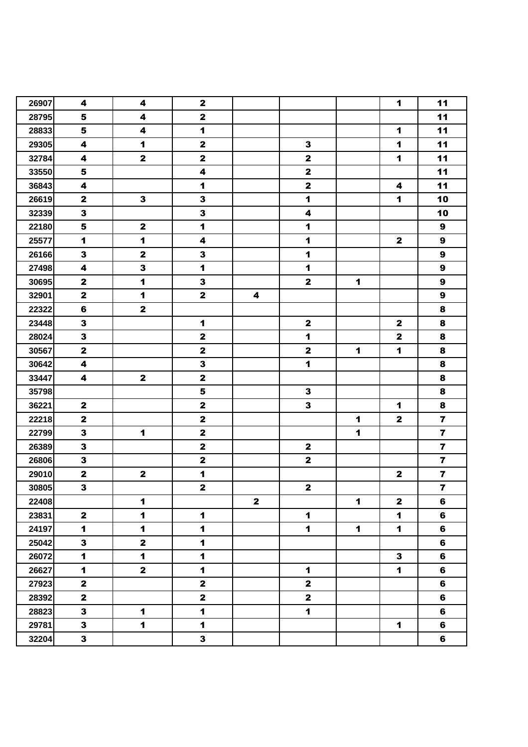| 26907 | 4                       | 4                    | $\mathbf{2}$            |              |                         |              | $\blacksquare$          | 11                      |
|-------|-------------------------|----------------------|-------------------------|--------------|-------------------------|--------------|-------------------------|-------------------------|
| 28795 | 5                       | 4                    | $\mathbf 2$             |              |                         |              |                         | 11                      |
| 28833 | 5                       | 4                    | $\blacksquare$          |              |                         |              | $\blacktriangleleft$    | 11                      |
| 29305 | 4                       | $\blacksquare$       | $\mathbf{2}$            |              | $\mathbf{3}$            |              | $\blacktriangleleft$    | 11                      |
| 32784 | $\overline{\mathbf{4}}$ | $\mathbf{2}$         | $\mathbf 2$             |              | $\mathbf 2$             |              | $\blacktriangleleft$    | 11                      |
| 33550 | $\overline{\mathbf{5}}$ |                      | $\overline{\mathbf{4}}$ |              | $\mathbf 2$             |              |                         | 11                      |
| 36843 | $\overline{\mathbf{4}}$ |                      | $\blacksquare$          |              | $\mathbf 2$             |              | $\overline{\mathbf{4}}$ | 11                      |
| 26619 | $\mathbf{2}$            | $\mathbf{3}$         | $\mathbf 3$             |              | $\blacktriangleleft$    |              | 1                       | 10                      |
| 32339 | $\mathbf{3}$            |                      | $\mathbf{3}$            |              | $\overline{\mathbf{4}}$ |              |                         | 10                      |
| 22180 | ${\bf 5}$               | $\mathbf 2$          | $\blacktriangleleft$    |              | $\blacktriangleleft$    |              |                         | $\boldsymbol{9}$        |
| 25577 | $\blacksquare$          | $\blacksquare$       | $\overline{\mathbf{4}}$ |              | $\mathbf 1$             |              | $\mathbf{2}$            | $\boldsymbol{9}$        |
| 26166 | $\mathbf{3}$            | $\mathbf 2$          | $\mathbf{3}$            |              | $\blacktriangleleft$    |              |                         | $\boldsymbol{9}$        |
| 27498 | $\overline{\mathbf{4}}$ | 3                    | $\blacksquare$          |              | $\blacktriangleleft$    |              |                         | $\boldsymbol{9}$        |
| 30695 | $\mathbf{2}$            | $\blacktriangleleft$ | $\mathbf{3}$            |              | $\mathbf{2}$            | $\mathbf 1$  |                         | $\boldsymbol{9}$        |
| 32901 | $\mathbf{2}$            | $\mathbf{1}$         | $\mathbf{2}$            | 4            |                         |              |                         | $\boldsymbol{9}$        |
| 22322 | $\bf 6$                 | $\mathbf{2}$         |                         |              |                         |              |                         | $\pmb{8}$               |
| 23448 | $\overline{\mathbf{3}}$ |                      | $\blacktriangleleft$    |              | $\mathbf 2$             |              | $\mathbf 2$             | $\pmb{8}$               |
| 28024 | $\overline{\mathbf{3}}$ |                      | $\mathbf 2$             |              | $\mathbf 1$             |              | $\mathbf 2$             | 8                       |
| 30567 | $\mathbf{2}$            |                      | $\mathbf 2$             |              | $\mathbf 2$             | 1            | $\blacktriangleleft$    | 8                       |
| 30642 | $\overline{\mathbf{4}}$ |                      | $\mathbf{3}$            |              | $\blacktriangleleft$    |              |                         | 8                       |
| 33447 | 4                       | $\mathbf{2}$         | $\mathbf{2}$            |              |                         |              |                         | $\bf8$                  |
| 35798 |                         |                      | $\overline{\mathbf{5}}$ |              | $\mathbf{3}$            |              |                         | 8                       |
| 36221 | $\mathbf 2$             |                      | $\mathbf 2$             |              | $\overline{\mathbf{3}}$ |              | $\blacktriangleleft$    | $\bf8$                  |
| 22218 | $\mathbf 2$             |                      | $\mathbf 2$             |              |                         | 1            | $\mathbf 2$             | $\overline{\mathbf{7}}$ |
| 22799 | $\mathbf{3}$            | $\blacksquare$       | $\mathbf 2$             |              |                         | $\mathbf 1$  |                         | $\overline{\mathbf{z}}$ |
| 26389 | $\overline{\mathbf{3}}$ |                      | $\mathbf 2$             |              | $\mathbf 2$             |              |                         | $\overline{\mathbf{z}}$ |
| 26806 | $\mathbf{3}$            |                      | $\mathbf 2$             |              | $\mathbf 2$             |              |                         | $\overline{\mathbf{z}}$ |
| 29010 | $\mathbf{2}$            | $\mathbf 2$          | $\mathbf{1}$            |              |                         |              | $\mathbf{2}$            | $\overline{\mathbf{z}}$ |
| 30805 | $\overline{\mathbf{3}}$ |                      | $\overline{\mathbf{2}}$ |              | $\mathbf 2$             |              |                         | $\overline{7}$          |
| 22408 |                         | $\blacksquare$       |                         | $\mathbf{2}$ |                         | 1            | $\mathbf{2}$            | 6                       |
| 23831 | $\mathbf{2}$            | $\blacksquare$       | $\mathbf 1$             |              | $\mathbf{1}$            |              | $\blacksquare$          | 6                       |
| 24197 | $\blacksquare$          | $\blacksquare$       | $\blacksquare$          |              | $\mathbf 1$             | $\mathbf{1}$ | $\blacksquare$          | 6                       |
| 25042 | $\mathbf{3}$            | $\mathbf{2}$         | $\blacksquare$          |              |                         |              |                         | 6                       |
| 26072 | $\blacktriangleleft$    | $\blacksquare$       | $\blacktriangleleft$    |              |                         |              | 3                       | 6                       |
| 26627 | $\blacktriangleleft$    | $\mathbf{2}$         | $\blacktriangleleft$    |              | $\mathbf 1$             |              | $\blacksquare$          | 6                       |
| 27923 | $\mathbf 2$             |                      | $\mathbf{2}$            |              | $\mathbf{2}$            |              |                         | 6                       |
| 28392 | $\overline{\mathbf{2}}$ |                      | $\mathbf{2}$            |              | $\mathbf{2}$            |              |                         | 6                       |
| 28823 | $\mathbf{3}$            | $\blacksquare$       | $\blacksquare$          |              | $\mathbf 1$             |              |                         | 6                       |
| 29781 | $\mathbf{3}$            | $\blacksquare$       | $\blacksquare$          |              |                         |              | $\blacktriangleleft$    | 6                       |
| 32204 | $\mathbf{3}$            |                      | $\mathbf{3}$            |              |                         |              |                         | 6                       |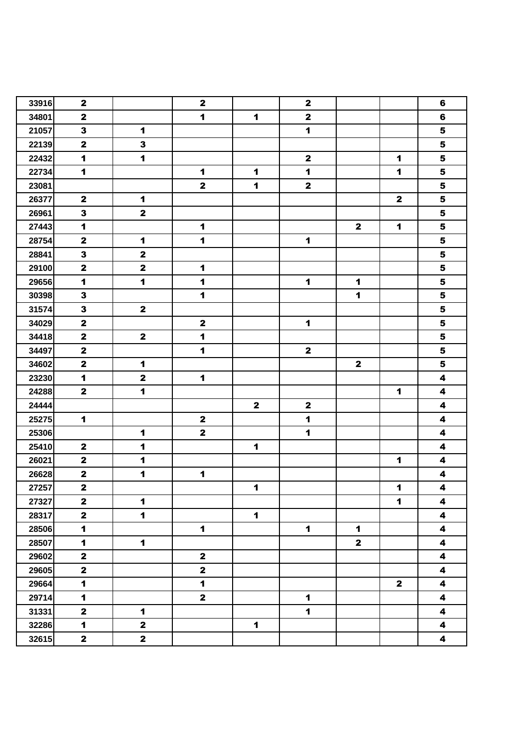| 33916 | $\mathbf 2$             |                      | $\mathbf{2}$         |                      | $\mathbf 2$             |                      |                      | $6\phantom{1}$          |
|-------|-------------------------|----------------------|----------------------|----------------------|-------------------------|----------------------|----------------------|-------------------------|
| 34801 | $\mathbf{2}$            |                      | $\mathbf{1}$         | $\blacktriangleleft$ | $\mathbf 2$             |                      |                      | 6                       |
| 21057 | $\mathbf{3}$            | $\blacktriangleleft$ |                      |                      | $\mathbf{1}$            |                      |                      | 5                       |
| 22139 | $\mathbf 2$             | $\mathbf{3}$         |                      |                      |                         |                      |                      | $\overline{\mathbf{5}}$ |
| 22432 | $\blacksquare$          | $\blacksquare$       |                      |                      | $\mathbf{2}$            |                      | $\blacksquare$       | $\overline{\mathbf{5}}$ |
| 22734 | $\mathbf{1}$            |                      | $\blacktriangleleft$ | $\blacktriangleleft$ | $\blacktriangleleft$    |                      | $\blacktriangleleft$ | $\overline{\mathbf{5}}$ |
| 23081 |                         |                      | $\mathbf 2$          | $\blacktriangleleft$ | $\overline{\mathbf{2}}$ |                      |                      | ${\bf 5}$               |
| 26377 | $\mathbf{2}$            | $\mathbf{1}$         |                      |                      |                         |                      | $\mathbf{2}$         | ${\bf 5}$               |
| 26961 | $\mathbf{3}$            | $\mathbf{2}$         |                      |                      |                         |                      |                      | ${\bf 5}$               |
| 27443 | $\blacktriangleleft$    |                      | $\blacktriangleleft$ |                      |                         | $\mathbf{2}$         | $\mathbf 1$          | ${\bf 5}$               |
| 28754 | $\mathbf 2$             | $\blacktriangleleft$ | $\mathbf 1$          |                      | $\mathbf 1$             |                      |                      | 5                       |
| 28841 | $\overline{\mathbf{3}}$ | $\mathbf 2$          |                      |                      |                         |                      |                      | $\overline{\mathbf{5}}$ |
| 29100 | $\mathbf 2$             | $\mathbf 2$          | $\blacktriangleleft$ |                      |                         |                      |                      | $\overline{\mathbf{5}}$ |
| 29656 | $\mathbf{1}$            | $\mathbf 1$          | $\blacktriangleleft$ |                      | $\mathbf 1$             | $\blacktriangleleft$ |                      | ${\bf 5}$               |
| 30398 | $\mathbf{3}$            |                      | $\blacktriangleleft$ |                      |                         | $\blacktriangleleft$ |                      | $\overline{\mathbf{5}}$ |
| 31574 | $\mathbf{3}$            | $\mathbf{2}$         |                      |                      |                         |                      |                      | ${\bf 5}$               |
| 34029 | $\mathbf 2$             |                      | $\mathbf 2$          |                      | $\mathbf 1$             |                      |                      | $\overline{\mathbf{5}}$ |
| 34418 | $\mathbf 2$             | $\mathbf{2}$         | $\blacktriangleleft$ |                      |                         |                      |                      | $\overline{\mathbf{5}}$ |
| 34497 | $\mathbf 2$             |                      | $\blacktriangleleft$ |                      | $\mathbf{2}$            |                      |                      | $\overline{\mathbf{5}}$ |
| 34602 | $\overline{\mathbf{2}}$ | $\blacktriangleleft$ |                      |                      |                         | $\mathbf{2}$         |                      | $\overline{\mathbf{5}}$ |
| 23230 | $\blacktriangleleft$    | $\mathbf{2}$         | $\blacktriangleleft$ |                      |                         |                      |                      | $\overline{\mathbf{4}}$ |
| 24288 | $\mathbf{2}$            | $\blacksquare$       |                      |                      |                         |                      | $\mathbf{1}$         | 4                       |
| 24444 |                         |                      |                      | $\mathbf{2}$         | $\mathbf 2$             |                      |                      | $\overline{\mathbf{4}}$ |
| 25275 | $\blacksquare$          |                      | $\mathbf{2}$         |                      | $\mathbf 1$             |                      |                      | $\overline{\mathbf{4}}$ |
| 25306 |                         | $\blacktriangleleft$ | $\mathbf{2}$         |                      | $\mathbf{1}$            |                      |                      | $\overline{\mathbf{4}}$ |
| 25410 | $\mathbf{2}$            | $\blacksquare$       |                      | $\blacktriangleleft$ |                         |                      |                      | $\overline{\mathbf{4}}$ |
| 26021 | $\mathbf 2$             | $\blacktriangleleft$ |                      |                      |                         |                      | $\mathbf 1$          | $\overline{\mathbf{4}}$ |
| 26628 | $\mathbf 2$             | $\blacksquare$       | $\blacktriangleleft$ |                      |                         |                      |                      | 4                       |
| 27257 | $\overline{\mathbf{2}}$ |                      |                      | $\mathbf 1$          |                         |                      | $\blacksquare$       | $\overline{\mathbf{4}}$ |
| 27327 | $\mathbf{2}$            | $\blacksquare$       |                      |                      |                         |                      | $\mathbf 1$          | 4                       |
| 28317 | $\mathbf{2}$            | $\blacksquare$       |                      | $\mathbf 1$          |                         |                      |                      | $\overline{\mathbf{4}}$ |
| 28506 | $\blacksquare$          |                      | $\mathbf 1$          |                      | $\mathbf 1$             | $\mathbf 1$          |                      | $\overline{\mathbf{4}}$ |
| 28507 | $\blacktriangleleft$    | $\blacksquare$       |                      |                      |                         | $\mathbf{2}$         |                      | $\overline{\mathbf{4}}$ |
| 29602 | $\mathbf{2}$            |                      | $\mathbf{2}$         |                      |                         |                      |                      | $\blacktriangleleft$    |
| 29605 | $\mathbf 2$             |                      | $\mathbf{2}$         |                      |                         |                      |                      | 4                       |
| 29664 | $\blacktriangleleft$    |                      | $\blacksquare$       |                      |                         |                      | $\mathbf{2}$         | $\overline{\mathbf{4}}$ |
| 29714 | $\blacktriangleleft$    |                      | $\mathbf{2}$         |                      | $\mathbf 1$             |                      |                      | $\blacktriangleleft$    |
| 31331 | $\mathbf{2}$            | $\blacksquare$       |                      |                      | $\mathbf 1$             |                      |                      | $\overline{\mathbf{4}}$ |
| 32286 | $\blacktriangleleft$    | $\mathbf{2}$         |                      | $\mathbf{1}$         |                         |                      |                      | 4                       |
| 32615 | $\mathbf{2}$            | $\mathbf{2}$         |                      |                      |                         |                      |                      | $\overline{\mathbf{4}}$ |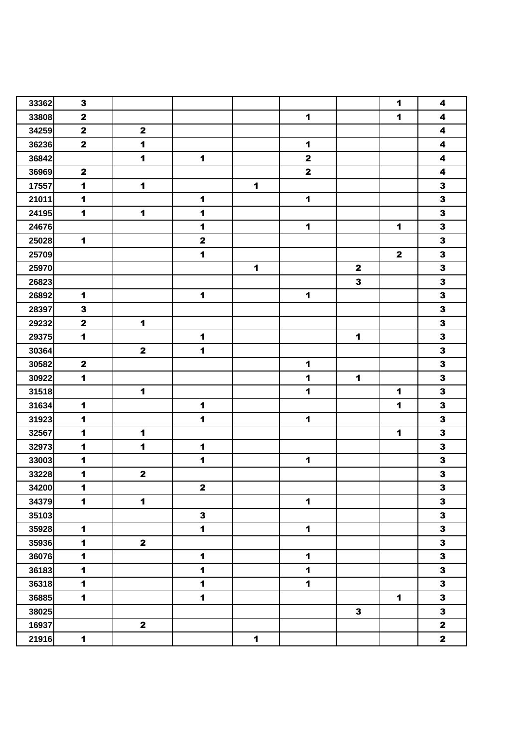| 33362 | $\mathbf{3}$         |                         |                      |                      |                      |                      | 1                    | 4                       |
|-------|----------------------|-------------------------|----------------------|----------------------|----------------------|----------------------|----------------------|-------------------------|
| 33808 | $\mathbf 2$          |                         |                      |                      | $\mathbf{1}$         |                      | $\blacktriangleleft$ | $\overline{\mathbf{4}}$ |
| 34259 | $\mathbf 2$          | $\mathbf{2}$            |                      |                      |                      |                      |                      | $\overline{\mathbf{4}}$ |
| 36236 | $\mathbf{2}$         | $\blacksquare$          |                      |                      | $\blacktriangleleft$ |                      |                      | $\overline{\mathbf{4}}$ |
| 36842 |                      | $\blacksquare$          | $\blacktriangleleft$ |                      | $\mathbf 2$          |                      |                      | $\overline{\mathbf{4}}$ |
| 36969 | $\mathbf 2$          |                         |                      |                      | $\mathbf{2}$         |                      |                      | $\overline{\mathbf{4}}$ |
| 17557 | $\blacktriangleleft$ | $\blacksquare$          |                      | $\blacktriangleleft$ |                      |                      |                      | $\overline{\mathbf{3}}$ |
| 21011 | $\blacktriangleleft$ |                         | $\blacktriangleleft$ |                      | $\mathbf 1$          |                      |                      | $\mathbf{3}$            |
| 24195 | $\blacksquare$       | 1                       | $\blacktriangleleft$ |                      |                      |                      |                      | $\mathbf 3$             |
| 24676 |                      |                         | $\blacktriangleleft$ |                      | $\blacktriangleleft$ |                      | $\blacksquare$       | $\mathbf{3}$            |
| 25028 | $\blacktriangleleft$ |                         | $\mathbf{2}$         |                      |                      |                      |                      | $\mathbf{3}$            |
| 25709 |                      |                         | $\blacktriangleleft$ |                      |                      |                      | $\mathbf{2}$         | $\mathbf{3}$            |
| 25970 |                      |                         |                      | $\blacktriangleleft$ |                      | $\mathbf{2}$         |                      | $\overline{\mathbf{3}}$ |
| 26823 |                      |                         |                      |                      |                      | $\mathbf{3}$         |                      | $\overline{\mathbf{3}}$ |
| 26892 | 1                    |                         | $\blacktriangleleft$ |                      | $\blacktriangleleft$ |                      |                      | $\mathbf 3$             |
| 28397 | $\mathbf{3}$         |                         |                      |                      |                      |                      |                      | $\overline{\mathbf{3}}$ |
| 29232 | $\mathbf 2$          | $\blacktriangleleft$    |                      |                      |                      |                      |                      | $\overline{\mathbf{3}}$ |
| 29375 | $\blacksquare$       |                         | $\blacktriangleleft$ |                      |                      | $\mathbf 1$          |                      | $\mathbf{3}$            |
| 30364 |                      | $\mathbf 2$             | $\blacktriangleleft$ |                      |                      |                      |                      | $\mathbf{3}$            |
| 30582 | $\mathbf 2$          |                         |                      |                      | $\blacktriangleleft$ |                      |                      | $\overline{\mathbf{3}}$ |
| 30922 | $\blacksquare$       |                         |                      |                      | $\blacktriangleleft$ | $\blacktriangleleft$ |                      | $\overline{\mathbf{3}}$ |
| 31518 |                      | $\blacktriangleleft$    |                      |                      | $\blacktriangleleft$ |                      | 1                    | $\mathbf{3}$            |
| 31634 | $\mathbf{1}$         |                         | $\blacktriangleleft$ |                      |                      |                      | 1                    | $\mathbf{3}$            |
| 31923 | $\blacktriangleleft$ |                         | $\blacktriangleleft$ |                      | $\blacktriangleleft$ |                      |                      | $\mathbf{3}$            |
| 32567 | $\blacktriangleleft$ | $\blacktriangleleft$    |                      |                      |                      |                      | $\mathbf{1}$         | $\mathbf{3}$            |
| 32973 | $\blacktriangleleft$ | $\blacksquare$          | $\blacktriangleleft$ |                      |                      |                      |                      | $\mathbf{3}$            |
| 33003 | $\blacktriangleleft$ |                         | 1                    |                      | $\blacktriangleleft$ |                      |                      | $\overline{\mathbf{3}}$ |
| 33228 | 1                    | $\mathbf 2$             |                      |                      |                      |                      |                      | $\mathbf 3$             |
| 34200 | $\blacktriangleleft$ |                         | $\mathbf{2}$         |                      |                      |                      |                      | $\overline{\mathbf{3}}$ |
| 34379 | $\blacktriangleleft$ | $\blacktriangleleft$    |                      |                      | $\mathbf 1$          |                      |                      | $\mathbf{3}$            |
| 35103 |                      |                         | $\mathbf{3}$         |                      |                      |                      |                      | $\overline{\mathbf{3}}$ |
| 35928 | $\blacktriangleleft$ |                         | $\blacktriangleleft$ |                      | $\blacktriangleleft$ |                      |                      | $\overline{\mathbf{3}}$ |
| 35936 | $\blacksquare$       | $\mathbf{2}$            |                      |                      |                      |                      |                      | $\overline{\mathbf{3}}$ |
| 36076 | $\blacktriangleleft$ |                         | $\blacktriangleleft$ |                      | $\blacktriangleleft$ |                      |                      | $\mathbf{3}$            |
| 36183 | $\blacktriangleleft$ |                         | $\mathbf{1}$         |                      | $\mathbf 1$          |                      |                      | $\overline{\mathbf{3}}$ |
| 36318 | $\blacksquare$       |                         | $\ddot{\mathbf{1}}$  |                      | $\mathbf{1}$         |                      |                      | $\overline{\mathbf{3}}$ |
| 36885 | $\mathbf{1}$         |                         | $\mathbf{1}$         |                      |                      |                      | $\mathbf 1$          | $\mathbf{3}$            |
| 38025 |                      |                         |                      |                      |                      | $\mathbf{3}$         |                      | $\overline{\mathbf{3}}$ |
| 16937 |                      | $\overline{\mathbf{2}}$ |                      |                      |                      |                      |                      | $\overline{\mathbf{2}}$ |
| 21916 | $\blacktriangleleft$ |                         |                      | $\blacktriangleleft$ |                      |                      |                      | $\mathbf{2}$            |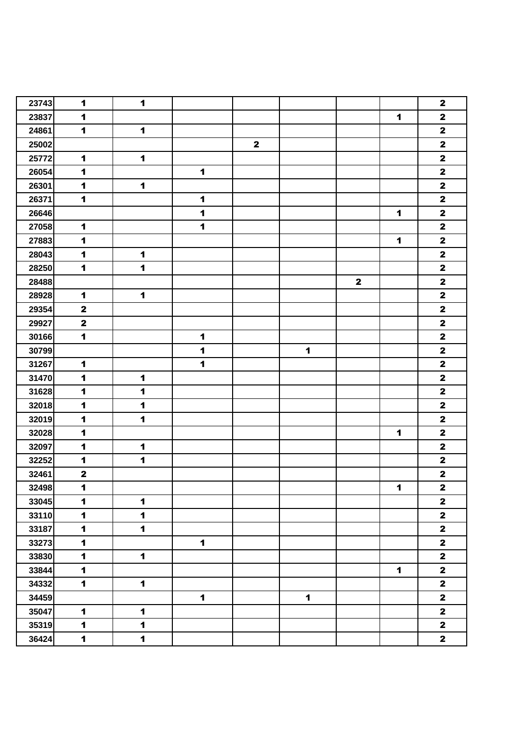| 23743 | $\blacktriangleleft$ | $\mathbf{1}$   |                      |              |                      |              |                | $\mathbf{2}$            |
|-------|----------------------|----------------|----------------------|--------------|----------------------|--------------|----------------|-------------------------|
| 23837 | $\blacksquare$       |                |                      |              |                      |              | $\mathbf{1}$   | $\mathbf{2}$            |
| 24861 | $\blacktriangleleft$ | $\blacksquare$ |                      |              |                      |              |                | $\mathbf{2}$            |
| 25002 |                      |                |                      | $\mathbf{2}$ |                      |              |                | $\mathbf 2$             |
| 25772 | $\blacksquare$       | $\mathbf{1}$   |                      |              |                      |              |                | $\mathbf 2$             |
| 26054 | $\blacktriangleleft$ |                | $\blacktriangleleft$ |              |                      |              |                | $\mathbf 2$             |
| 26301 | $\blacksquare$       | $\mathbf{1}$   |                      |              |                      |              |                | $\mathbf 2$             |
| 26371 | $\mathbf{1}$         |                | $\blacktriangleleft$ |              |                      |              |                | $\mathbf 2$             |
| 26646 |                      |                | $\blacktriangleleft$ |              |                      |              | $\blacksquare$ | $\mathbf 2$             |
| 27058 | $\blacktriangleleft$ |                | $\blacktriangleleft$ |              |                      |              |                | $\mathbf 2$             |
| 27883 | $\blacktriangleleft$ |                |                      |              |                      |              | 1              | $\mathbf{2}$            |
| 28043 | $\mathbf{1}$         | $\mathbf 1$    |                      |              |                      |              |                | $\mathbf 2$             |
| 28250 | $\blacktriangleleft$ | $\blacksquare$ |                      |              |                      |              |                | $\mathbf 2$             |
| 28488 |                      |                |                      |              |                      | $\mathbf{2}$ |                | $\overline{\mathbf{2}}$ |
| 28928 | $\mathbf{1}$         | $\mathbf{1}$   |                      |              |                      |              |                | $\mathbf 2$             |
| 29354 | $\mathbf 2$          |                |                      |              |                      |              |                | $\mathbf 2$             |
| 29927 | $\mathbf{2}$         |                |                      |              |                      |              |                | $\mathbf 2$             |
| 30166 | $\mathbf 1$          |                | $\blacktriangleleft$ |              |                      |              |                | $\mathbf{2}$            |
| 30799 |                      |                | $\blacktriangleleft$ |              | $\blacktriangleleft$ |              |                | $\mathbf 2$             |
| 31267 | $\blacktriangleleft$ |                | $\blacktriangleleft$ |              |                      |              |                | $\mathbf 2$             |
| 31470 | $\blacksquare$       | $\blacksquare$ |                      |              |                      |              |                | $\mathbf 2$             |
| 31628 | $\blacksquare$       | $\mathbf{1}$   |                      |              |                      |              |                | $\mathbf 2$             |
| 32018 | $\mathbf{1}$         | $\mathbf{1}$   |                      |              |                      |              |                | $\mathbf 2$             |
| 32019 | $\blacksquare$       | $\blacksquare$ |                      |              |                      |              |                | $\mathbf 2$             |
| 32028 | $\blacktriangleleft$ |                |                      |              |                      |              | $\mathbf{1}$   | $\mathbf{2}$            |
| 32097 | $\blacktriangleleft$ | $\mathbf{1}$   |                      |              |                      |              |                | $\mathbf 2$             |
| 32252 | $\blacktriangleleft$ | $\blacksquare$ |                      |              |                      |              |                | $\mathbf{2}$            |
| 32461 | $\mathbf 2$          |                |                      |              |                      |              |                | $\mathbf 2$             |
| 32498 | $\blacksquare$       |                |                      |              |                      |              | $\mathbf{1}$   | $\mathbf{2}$            |
| 33045 | $\blacktriangleleft$ | $\mathbf{1}$   |                      |              |                      |              |                | $\mathbf 2$             |
| 33110 | $\blacksquare$       | $\blacksquare$ |                      |              |                      |              |                | $\mathbf{2}$            |
| 33187 | $\blacksquare$       | $\blacksquare$ |                      |              |                      |              |                | $\overline{\mathbf{2}}$ |
| 33273 | $\blacksquare$       |                | $\mathbf 1$          |              |                      |              |                | $\mathbf{2}$            |
| 33830 | $\blacksquare$       | $\mathbf 1$    |                      |              |                      |              |                | $\mathbf{2}$            |
| 33844 | $\blacksquare$       |                |                      |              |                      |              | $\mathbf{1}$   | $\mathbf{2}$            |
| 34332 | $\blacksquare$       | $\blacksquare$ |                      |              |                      |              |                | $\mathbf{2}$            |
| 34459 |                      |                | $\mathbf{1}$         |              | $\mathbf 1$          |              |                | $\mathbf{2}$            |
| 35047 | $\blacksquare$       | $\blacksquare$ |                      |              |                      |              |                | $\mathbf{2}$            |
| 35319 | $\blacksquare$       | $\blacksquare$ |                      |              |                      |              |                | $\overline{\mathbf{2}}$ |
| 36424 | $\blacksquare$       | $\mathbf 1$    |                      |              |                      |              |                | $\mathbf{2}$            |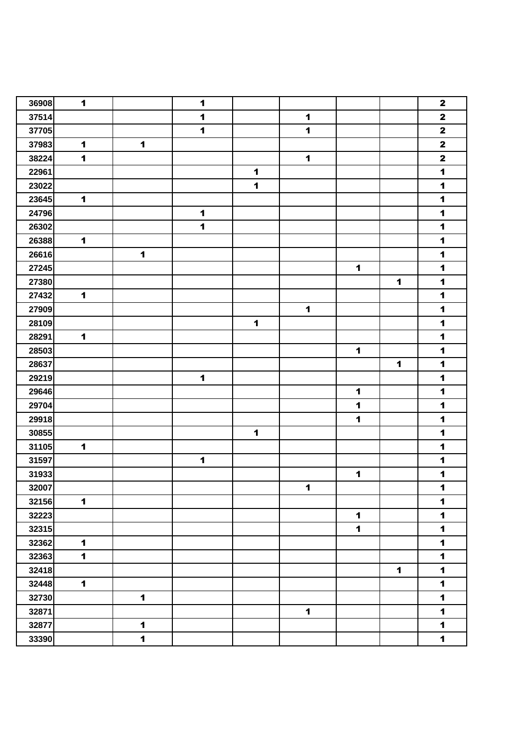| 36908 | $\blacktriangleleft$ |                      | $\blacktriangleleft$ |                      |                      |                      |                      | $\mathbf 2$             |
|-------|----------------------|----------------------|----------------------|----------------------|----------------------|----------------------|----------------------|-------------------------|
| 37514 |                      |                      | $\blacktriangleleft$ |                      | $\blacktriangleleft$ |                      |                      | $\mathbf 2$             |
| 37705 |                      |                      | $\blacktriangleleft$ |                      | $\mathbf 1$          |                      |                      | $\mathbf 2$             |
| 37983 | $\blacktriangleleft$ | $\mathbf{1}$         |                      |                      |                      |                      |                      | $\mathbf 2$             |
| 38224 | $\blacktriangleleft$ |                      |                      |                      | $\blacksquare$       |                      |                      | $\overline{\mathbf{2}}$ |
| 22961 |                      |                      |                      | $\blacktriangleleft$ |                      |                      |                      | $\ddot{\mathbf{1}}$     |
| 23022 |                      |                      |                      | $\blacktriangleleft$ |                      |                      |                      | $\blacktriangleleft$    |
| 23645 | $\blacktriangleleft$ |                      |                      |                      |                      |                      |                      | $\blacktriangleleft$    |
| 24796 |                      |                      | $\blacktriangleleft$ |                      |                      |                      |                      | $\blacktriangleleft$    |
| 26302 |                      |                      | $\blacktriangleleft$ |                      |                      |                      |                      | $\blacktriangleleft$    |
| 26388 | $\blacktriangleleft$ |                      |                      |                      |                      |                      |                      | $\blacktriangleleft$    |
| 26616 |                      | $\blacktriangleleft$ |                      |                      |                      |                      |                      | $\blacktriangleleft$    |
| 27245 |                      |                      |                      |                      |                      | $\blacktriangleleft$ |                      | $\blacktriangleleft$    |
| 27380 |                      |                      |                      |                      |                      |                      | 1                    | $\blacktriangleleft$    |
| 27432 | $\blacktriangleleft$ |                      |                      |                      |                      |                      |                      | $\blacktriangleleft$    |
| 27909 |                      |                      |                      |                      | $\blacktriangleleft$ |                      |                      | $\blacktriangleleft$    |
| 28109 |                      |                      |                      | $\ddot{\mathbf{1}}$  |                      |                      |                      | $\blacktriangleleft$    |
| 28291 | $\blacktriangleleft$ |                      |                      |                      |                      |                      |                      | $\blacktriangleleft$    |
| 28503 |                      |                      |                      |                      |                      | $\blacktriangleleft$ |                      | $\blacktriangleleft$    |
| 28637 |                      |                      |                      |                      |                      |                      | 1                    | $\blacktriangleleft$    |
| 29219 |                      |                      | $\blacktriangleleft$ |                      |                      |                      |                      | $\blacktriangleleft$    |
| 29646 |                      |                      |                      |                      |                      | $\blacktriangleleft$ |                      | $\blacktriangleleft$    |
| 29704 |                      |                      |                      |                      |                      | $\blacktriangleleft$ |                      | $\blacktriangleleft$    |
| 29918 |                      |                      |                      |                      |                      | $\blacktriangleleft$ |                      | $\blacktriangleleft$    |
| 30855 |                      |                      |                      | $\blacksquare$       |                      |                      |                      | $\blacktriangleleft$    |
| 31105 | $\mathbf{1}$         |                      |                      |                      |                      |                      |                      | $\blacktriangleleft$    |
| 31597 |                      |                      | $\blacktriangleleft$ |                      |                      |                      |                      | 1                       |
| 31933 |                      |                      |                      |                      |                      | 1                    |                      | $\blacktriangleleft$    |
| 32007 |                      |                      |                      |                      | $\blacktriangleleft$ |                      |                      | $\blacktriangleleft$    |
| 32156 | $\blacksquare$       |                      |                      |                      |                      |                      |                      | $\blacktriangleleft$    |
| 32223 |                      |                      |                      |                      |                      | $\mathbf{1}$         |                      | $\blacktriangleleft$    |
| 32315 |                      |                      |                      |                      |                      | $\blacksquare$       |                      | $\blacktriangleleft$    |
| 32362 | $\mathbf{1}$         |                      |                      |                      |                      |                      |                      | $\blacktriangleleft$    |
| 32363 | $\blacksquare$       |                      |                      |                      |                      |                      |                      | $\blacktriangleleft$    |
| 32418 |                      |                      |                      |                      |                      |                      | $\blacktriangleleft$ | $\blacktriangleleft$    |
| 32448 | $\blacksquare$       |                      |                      |                      |                      |                      |                      | $\mathbf 1$             |
| 32730 |                      | $\blacktriangleleft$ |                      |                      |                      |                      |                      | $\blacktriangleleft$    |
| 32871 |                      |                      |                      |                      | $\mathbf 1$          |                      |                      | $\blacktriangleleft$    |
| 32877 |                      | $\blacksquare$       |                      |                      |                      |                      |                      | $\ddot{\mathbf{1}}$     |
| 33390 |                      | $\blacksquare$       |                      |                      |                      |                      |                      | $\blacktriangleleft$    |